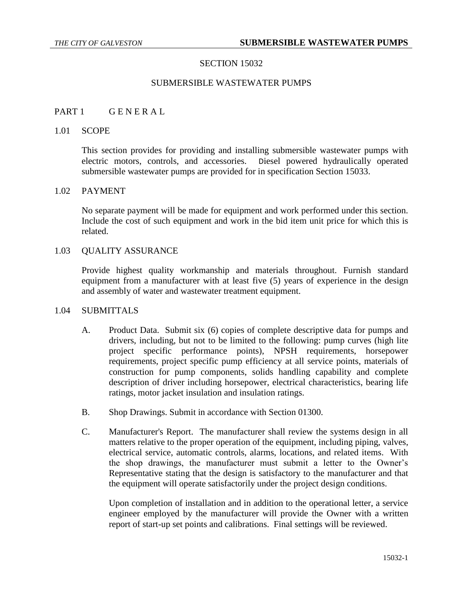### SECTION 15032

### SUBMERSIBLE WASTEWATER PUMPS

#### PART 1 GENERAL

#### 1.01 SCOPE

This section provides for providing and installing submersible wastewater pumps with electric motors, controls, and accessories. Diesel powered hydraulically operated submersible wastewater pumps are provided for in specification Section 15033.

### 1.02 PAYMENT

No separate payment will be made for equipment and work performed under this section. Include the cost of such equipment and work in the bid item unit price for which this is related.

### 1.03 QUALITY ASSURANCE

Provide highest quality workmanship and materials throughout. Furnish standard equipment from a manufacturer with at least five (5) years of experience in the design and assembly of water and wastewater treatment equipment.

# 1.04 SUBMITTALS

- A. Product Data. Submit six (6) copies of complete descriptive data for pumps and drivers, including, but not to be limited to the following: pump curves (high lite project specific performance points), NPSH requirements, horsepower requirements, project specific pump efficiency at all service points, materials of construction for pump components, solids handling capability and complete description of driver including horsepower, electrical characteristics, bearing life ratings, motor jacket insulation and insulation ratings.
- B. Shop Drawings. Submit in accordance with Section 01300.
- C. Manufacturer's Report. The manufacturer shall review the systems design in all matters relative to the proper operation of the equipment, including piping, valves, electrical service, automatic controls, alarms, locations, and related items. With the shop drawings, the manufacturer must submit a letter to the Owner's Representative stating that the design is satisfactory to the manufacturer and that the equipment will operate satisfactorily under the project design conditions.

Upon completion of installation and in addition to the operational letter, a service engineer employed by the manufacturer will provide the Owner with a written report of start-up set points and calibrations. Final settings will be reviewed.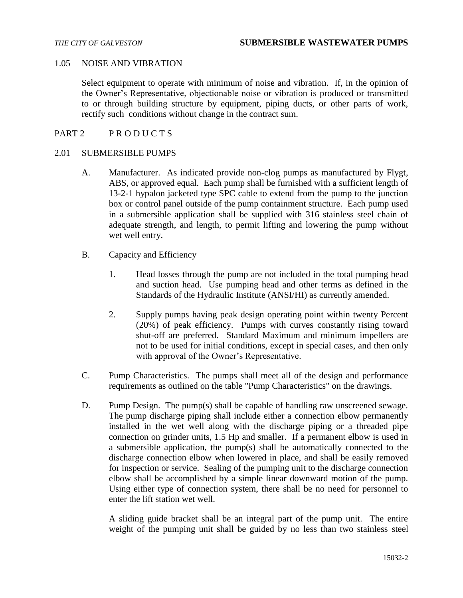#### 1.05 NOISE AND VIBRATION

Select equipment to operate with minimum of noise and vibration. If, in the opinion of the Owner's Representative, objectionable noise or vibration is produced or transmitted to or through building structure by equipment, piping ducts, or other parts of work, rectify such conditions without change in the contract sum.

# PART 2 PRODUCTS

#### 2.01 SUBMERSIBLE PUMPS

- A. Manufacturer. As indicated provide non-clog pumps as manufactured by Flygt, ABS, or approved equal. Each pump shall be furnished with a sufficient length of 13-2-1 hypalon jacketed type SPC cable to extend from the pump to the junction box or control panel outside of the pump containment structure. Each pump used in a submersible application shall be supplied with 316 stainless steel chain of adequate strength, and length, to permit lifting and lowering the pump without wet well entry.
- B. Capacity and Efficiency
	- 1. Head losses through the pump are not included in the total pumping head and suction head. Use pumping head and other terms as defined in the Standards of the Hydraulic Institute (ANSI/HI) as currently amended.
	- 2. Supply pumps having peak design operating point within twenty Percent (20%) of peak efficiency. Pumps with curves constantly rising toward shut-off are preferred. Standard Maximum and minimum impellers are not to be used for initial conditions, except in special cases, and then only with approval of the Owner's Representative.
- C. Pump Characteristics. The pumps shall meet all of the design and performance requirements as outlined on the table "Pump Characteristics" on the drawings.
- D. Pump Design. The pump(s) shall be capable of handling raw unscreened sewage. The pump discharge piping shall include either a connection elbow permanently installed in the wet well along with the discharge piping or a threaded pipe connection on grinder units, 1.5 Hp and smaller. If a permanent elbow is used in a submersible application, the pump(s) shall be automatically connected to the discharge connection elbow when lowered in place, and shall be easily removed for inspection or service. Sealing of the pumping unit to the discharge connection elbow shall be accomplished by a simple linear downward motion of the pump. Using either type of connection system, there shall be no need for personnel to enter the lift station wet well.

A sliding guide bracket shall be an integral part of the pump unit. The entire weight of the pumping unit shall be guided by no less than two stainless steel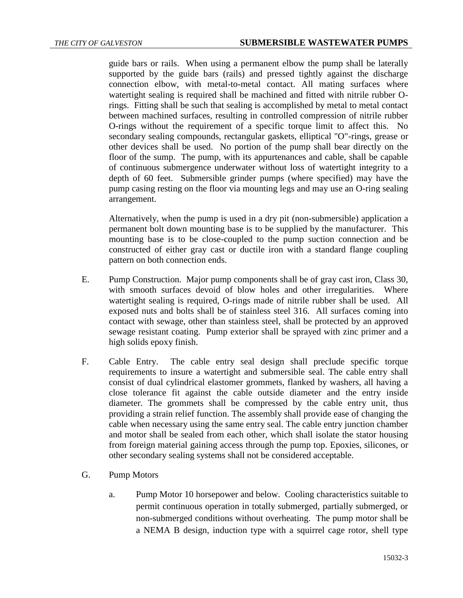guide bars or rails. When using a permanent elbow the pump shall be laterally supported by the guide bars (rails) and pressed tightly against the discharge connection elbow, with metal-to-metal contact. All mating surfaces where watertight sealing is required shall be machined and fitted with nitrile rubber Orings. Fitting shall be such that sealing is accomplished by metal to metal contact between machined surfaces, resulting in controlled compression of nitrile rubber O-rings without the requirement of a specific torque limit to affect this. No secondary sealing compounds, rectangular gaskets, elliptical "O"-rings, grease or other devices shall be used. No portion of the pump shall bear directly on the floor of the sump. The pump, with its appurtenances and cable, shall be capable of continuous submergence underwater without loss of watertight integrity to a depth of 60 feet. Submersible grinder pumps (where specified) may have the pump casing resting on the floor via mounting legs and may use an O-ring sealing arrangement.

Alternatively, when the pump is used in a dry pit (non-submersible) application a permanent bolt down mounting base is to be supplied by the manufacturer. This mounting base is to be close-coupled to the pump suction connection and be constructed of either gray cast or ductile iron with a standard flange coupling pattern on both connection ends.

- E. Pump Construction. Major pump components shall be of gray cast iron, Class 30, with smooth surfaces devoid of blow holes and other irregularities. Where watertight sealing is required, O-rings made of nitrile rubber shall be used. All exposed nuts and bolts shall be of stainless steel 316. All surfaces coming into contact with sewage, other than stainless steel, shall be protected by an approved sewage resistant coating. Pump exterior shall be sprayed with zinc primer and a high solids epoxy finish.
- F. Cable Entry. The cable entry seal design shall preclude specific torque requirements to insure a watertight and submersible seal. The cable entry shall consist of dual cylindrical elastomer grommets, flanked by washers, all having a close tolerance fit against the cable outside diameter and the entry inside diameter. The grommets shall be compressed by the cable entry unit, thus providing a strain relief function. The assembly shall provide ease of changing the cable when necessary using the same entry seal. The cable entry junction chamber and motor shall be sealed from each other, which shall isolate the stator housing from foreign material gaining access through the pump top. Epoxies, silicones, or other secondary sealing systems shall not be considered acceptable.
- G. Pump Motors
	- a. Pump Motor 10 horsepower and below. Cooling characteristics suitable to permit continuous operation in totally submerged, partially submerged, or non-submerged conditions without overheating. The pump motor shall be a NEMA B design, induction type with a squirrel cage rotor, shell type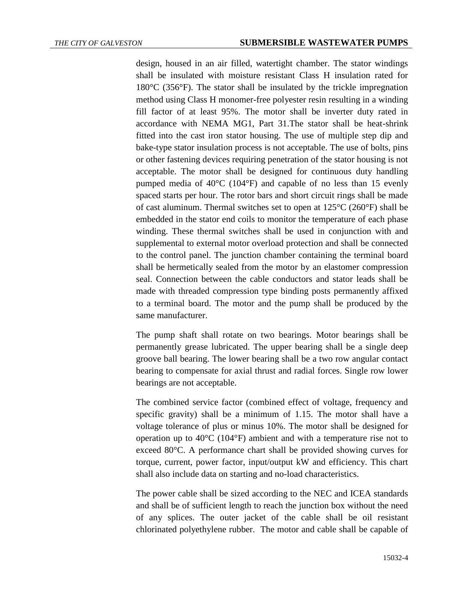design, housed in an air filled, watertight chamber. The stator windings shall be insulated with moisture resistant Class H insulation rated for  $180^{\circ}$ C (356 $^{\circ}$ F). The stator shall be insulated by the trickle impregnation method using Class H monomer-free polyester resin resulting in a winding fill factor of at least 95%. The motor shall be inverter duty rated in accordance with NEMA MG1, Part 31.The stator shall be heat-shrink fitted into the cast iron stator housing. The use of multiple step dip and bake-type stator insulation process is not acceptable. The use of bolts, pins or other fastening devices requiring penetration of the stator housing is not acceptable. The motor shall be designed for continuous duty handling pumped media of 40°C (104°F) and capable of no less than 15 evenly spaced starts per hour. The rotor bars and short circuit rings shall be made of cast aluminum. Thermal switches set to open at 125°C (260°F) shall be embedded in the stator end coils to monitor the temperature of each phase winding. These thermal switches shall be used in conjunction with and supplemental to external motor overload protection and shall be connected to the control panel. The junction chamber containing the terminal board shall be hermetically sealed from the motor by an elastomer compression seal. Connection between the cable conductors and stator leads shall be made with threaded compression type binding posts permanently affixed to a terminal board. The motor and the pump shall be produced by the same manufacturer.

The pump shaft shall rotate on two bearings. Motor bearings shall be permanently grease lubricated. The upper bearing shall be a single deep groove ball bearing. The lower bearing shall be a two row angular contact bearing to compensate for axial thrust and radial forces. Single row lower bearings are not acceptable.

The combined service factor (combined effect of voltage, frequency and specific gravity) shall be a minimum of 1.15. The motor shall have a voltage tolerance of plus or minus 10%. The motor shall be designed for operation up to 40°C (104°F) ambient and with a temperature rise not to exceed 80°C. A performance chart shall be provided showing curves for torque, current, power factor, input/output kW and efficiency. This chart shall also include data on starting and no-load characteristics.

The power cable shall be sized according to the NEC and ICEA standards and shall be of sufficient length to reach the junction box without the need of any splices. The outer jacket of the cable shall be oil resistant chlorinated polyethylene rubber. The motor and cable shall be capable of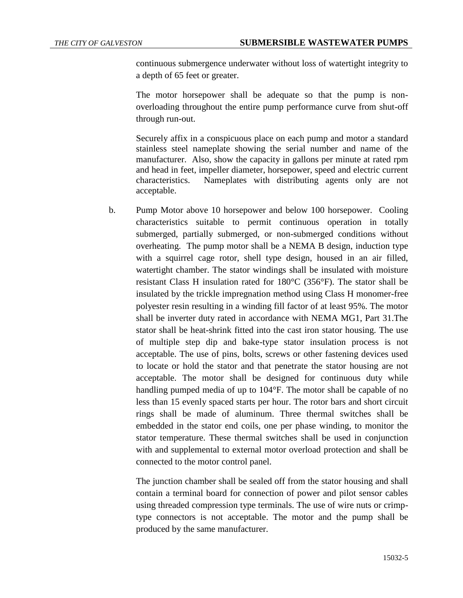continuous submergence underwater without loss of watertight integrity to a depth of 65 feet or greater.

The motor horsepower shall be adequate so that the pump is nonoverloading throughout the entire pump performance curve from shut-off through run-out.

Securely affix in a conspicuous place on each pump and motor a standard stainless steel nameplate showing the serial number and name of the manufacturer. Also, show the capacity in gallons per minute at rated rpm and head in feet, impeller diameter, horsepower, speed and electric current characteristics. Nameplates with distributing agents only are not acceptable.

b. Pump Motor above 10 horsepower and below 100 horsepower. Cooling characteristics suitable to permit continuous operation in totally submerged, partially submerged, or non-submerged conditions without overheating. The pump motor shall be a NEMA B design, induction type with a squirrel cage rotor, shell type design, housed in an air filled, watertight chamber. The stator windings shall be insulated with moisture resistant Class H insulation rated for 180°C (356°F). The stator shall be insulated by the trickle impregnation method using Class H monomer-free polyester resin resulting in a winding fill factor of at least 95%. The motor shall be inverter duty rated in accordance with NEMA MG1, Part 31.The stator shall be heat-shrink fitted into the cast iron stator housing. The use of multiple step dip and bake-type stator insulation process is not acceptable. The use of pins, bolts, screws or other fastening devices used to locate or hold the stator and that penetrate the stator housing are not acceptable. The motor shall be designed for continuous duty while handling pumped media of up to 104°F. The motor shall be capable of no less than 15 evenly spaced starts per hour. The rotor bars and short circuit rings shall be made of aluminum. Three thermal switches shall be embedded in the stator end coils, one per phase winding, to monitor the stator temperature. These thermal switches shall be used in conjunction with and supplemental to external motor overload protection and shall be connected to the motor control panel.

The junction chamber shall be sealed off from the stator housing and shall contain a terminal board for connection of power and pilot sensor cables using threaded compression type terminals. The use of wire nuts or crimptype connectors is not acceptable. The motor and the pump shall be produced by the same manufacturer.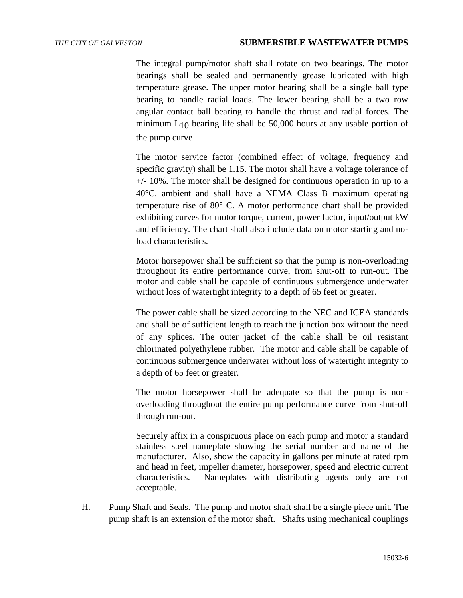The integral pump/motor shaft shall rotate on two bearings. The motor bearings shall be sealed and permanently grease lubricated with high temperature grease. The upper motor bearing shall be a single ball type bearing to handle radial loads. The lower bearing shall be a two row angular contact ball bearing to handle the thrust and radial forces. The minimum  $L_{10}$  bearing life shall be 50,000 hours at any usable portion of the pump curve

The motor service factor (combined effect of voltage, frequency and specific gravity) shall be 1.15. The motor shall have a voltage tolerance of  $+/-$  10%. The motor shall be designed for continuous operation in up to a 40°C. ambient and shall have a NEMA Class B maximum operating temperature rise of 80° C. A motor performance chart shall be provided exhibiting curves for motor torque, current, power factor, input/output kW and efficiency. The chart shall also include data on motor starting and noload characteristics.

Motor horsepower shall be sufficient so that the pump is non-overloading throughout its entire performance curve, from shut-off to run-out. The motor and cable shall be capable of continuous submergence underwater without loss of watertight integrity to a depth of 65 feet or greater.

The power cable shall be sized according to the NEC and ICEA standards and shall be of sufficient length to reach the junction box without the need of any splices. The outer jacket of the cable shall be oil resistant chlorinated polyethylene rubber. The motor and cable shall be capable of continuous submergence underwater without loss of watertight integrity to a depth of 65 feet or greater.

The motor horsepower shall be adequate so that the pump is nonoverloading throughout the entire pump performance curve from shut-off through run-out.

Securely affix in a conspicuous place on each pump and motor a standard stainless steel nameplate showing the serial number and name of the manufacturer. Also, show the capacity in gallons per minute at rated rpm and head in feet, impeller diameter, horsepower, speed and electric current characteristics. Nameplates with distributing agents only are not acceptable.

H. Pump Shaft and Seals. The pump and motor shaft shall be a single piece unit. The pump shaft is an extension of the motor shaft. Shafts using mechanical couplings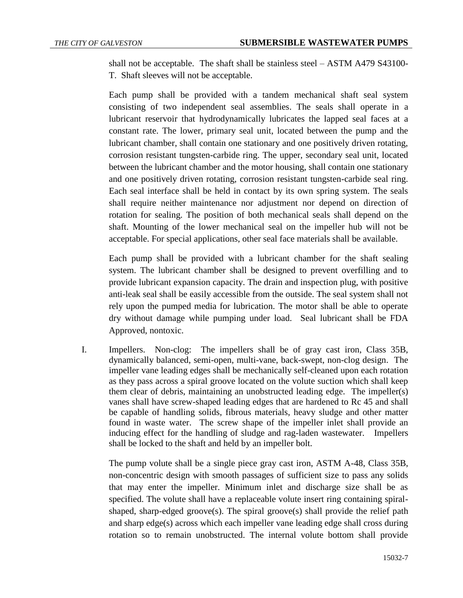shall not be acceptable. The shaft shall be stainless steel – ASTM A479 S43100- T. Shaft sleeves will not be acceptable.

Each pump shall be provided with a tandem mechanical shaft seal system consisting of two independent seal assemblies. The seals shall operate in a lubricant reservoir that hydrodynamically lubricates the lapped seal faces at a constant rate. The lower, primary seal unit, located between the pump and the lubricant chamber, shall contain one stationary and one positively driven rotating, corrosion resistant tungsten-carbide ring. The upper, secondary seal unit, located between the lubricant chamber and the motor housing, shall contain one stationary and one positively driven rotating, corrosion resistant tungsten-carbide seal ring. Each seal interface shall be held in contact by its own spring system. The seals shall require neither maintenance nor adjustment nor depend on direction of rotation for sealing. The position of both mechanical seals shall depend on the shaft. Mounting of the lower mechanical seal on the impeller hub will not be acceptable. For special applications, other seal face materials shall be available.

Each pump shall be provided with a lubricant chamber for the shaft sealing system. The lubricant chamber shall be designed to prevent overfilling and to provide lubricant expansion capacity. The drain and inspection plug, with positive anti-leak seal shall be easily accessible from the outside. The seal system shall not rely upon the pumped media for lubrication. The motor shall be able to operate dry without damage while pumping under load. Seal lubricant shall be FDA Approved, nontoxic.

I. Impellers. Non-clog: The impellers shall be of gray cast iron, Class 35B, dynamically balanced, semi-open, multi-vane, back-swept, non-clog design. The impeller vane leading edges shall be mechanically self-cleaned upon each rotation as they pass across a spiral groove located on the volute suction which shall keep them clear of debris, maintaining an unobstructed leading edge. The impeller(s) vanes shall have screw-shaped leading edges that are hardened to Rc 45 and shall be capable of handling solids, fibrous materials, heavy sludge and other matter found in waste water. The screw shape of the impeller inlet shall provide an inducing effect for the handling of sludge and rag-laden wastewater. Impellers shall be locked to the shaft and held by an impeller bolt.

The pump volute shall be a single piece gray cast iron, ASTM A-48, Class 35B, non-concentric design with smooth passages of sufficient size to pass any solids that may enter the impeller. Minimum inlet and discharge size shall be as specified. The volute shall have a replaceable volute insert ring containing spiralshaped, sharp-edged groove(s). The spiral groove(s) shall provide the relief path and sharp edge(s) across which each impeller vane leading edge shall cross during rotation so to remain unobstructed. The internal volute bottom shall provide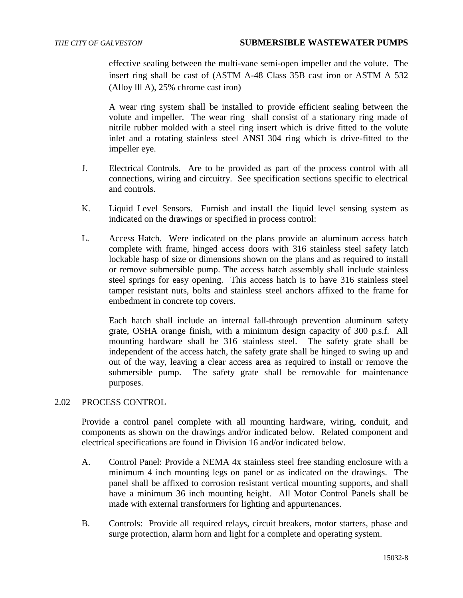effective sealing between the multi-vane semi-open impeller and the volute. The insert ring shall be cast of (ASTM A-48 Class 35B cast iron or ASTM A 532 (Alloy lll A), 25% chrome cast iron)

A wear ring system shall be installed to provide efficient sealing between the volute and impeller. The wear ring shall consist of a stationary ring made of nitrile rubber molded with a steel ring insert which is drive fitted to the volute inlet and a rotating stainless steel ANSI 304 ring which is drive-fitted to the impeller eye.

- J. Electrical Controls. Are to be provided as part of the process control with all connections, wiring and circuitry. See specification sections specific to electrical and controls.
- K. Liquid Level Sensors. Furnish and install the liquid level sensing system as indicated on the drawings or specified in process control:
- L. Access Hatch. Were indicated on the plans provide an aluminum access hatch complete with frame, hinged access doors with 316 stainless steel safety latch lockable hasp of size or dimensions shown on the plans and as required to install or remove submersible pump. The access hatch assembly shall include stainless steel springs for easy opening. This access hatch is to have 316 stainless steel tamper resistant nuts, bolts and stainless steel anchors affixed to the frame for embedment in concrete top covers.

Each hatch shall include an internal fall-through prevention aluminum safety grate, OSHA orange finish, with a minimum design capacity of 300 p.s.f. All mounting hardware shall be 316 stainless steel. The safety grate shall be independent of the access hatch, the safety grate shall be hinged to swing up and out of the way, leaving a clear access area as required to install or remove the submersible pump. The safety grate shall be removable for maintenance purposes.

## 2.02 PROCESS CONTROL

Provide a control panel complete with all mounting hardware, wiring, conduit, and components as shown on the drawings and/or indicated below. Related component and electrical specifications are found in Division 16 and/or indicated below.

- A. Control Panel: Provide a NEMA 4x stainless steel free standing enclosure with a minimum 4 inch mounting legs on panel or as indicated on the drawings. The panel shall be affixed to corrosion resistant vertical mounting supports, and shall have a minimum 36 inch mounting height. All Motor Control Panels shall be made with external transformers for lighting and appurtenances.
- B. Controls: Provide all required relays, circuit breakers, motor starters, phase and surge protection, alarm horn and light for a complete and operating system.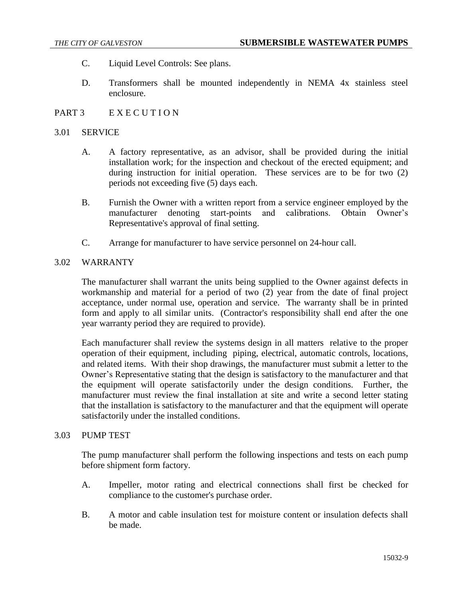- C. Liquid Level Controls: See plans.
- D. Transformers shall be mounted independently in NEMA 4x stainless steel enclosure.

## PART 3 EXECUTION

### 3.01 SERVICE

- A. A factory representative, as an advisor, shall be provided during the initial installation work; for the inspection and checkout of the erected equipment; and during instruction for initial operation. These services are to be for two (2) periods not exceeding five (5) days each.
- B. Furnish the Owner with a written report from a service engineer employed by the manufacturer denoting start-points and calibrations. Obtain Owner's Representative's approval of final setting.
- C. Arrange for manufacturer to have service personnel on 24-hour call.

### 3.02 WARRANTY

The manufacturer shall warrant the units being supplied to the Owner against defects in workmanship and material for a period of two (2) year from the date of final project acceptance, under normal use, operation and service. The warranty shall be in printed form and apply to all similar units. (Contractor's responsibility shall end after the one year warranty period they are required to provide).

Each manufacturer shall review the systems design in all matters relative to the proper operation of their equipment, including piping, electrical, automatic controls, locations, and related items. With their shop drawings, the manufacturer must submit a letter to the Owner's Representative stating that the design is satisfactory to the manufacturer and that the equipment will operate satisfactorily under the design conditions. Further, the manufacturer must review the final installation at site and write a second letter stating that the installation is satisfactory to the manufacturer and that the equipment will operate satisfactorily under the installed conditions.

#### 3.03 PUMP TEST

The pump manufacturer shall perform the following inspections and tests on each pump before shipment form factory.

- A. Impeller, motor rating and electrical connections shall first be checked for compliance to the customer's purchase order.
- B. A motor and cable insulation test for moisture content or insulation defects shall be made.